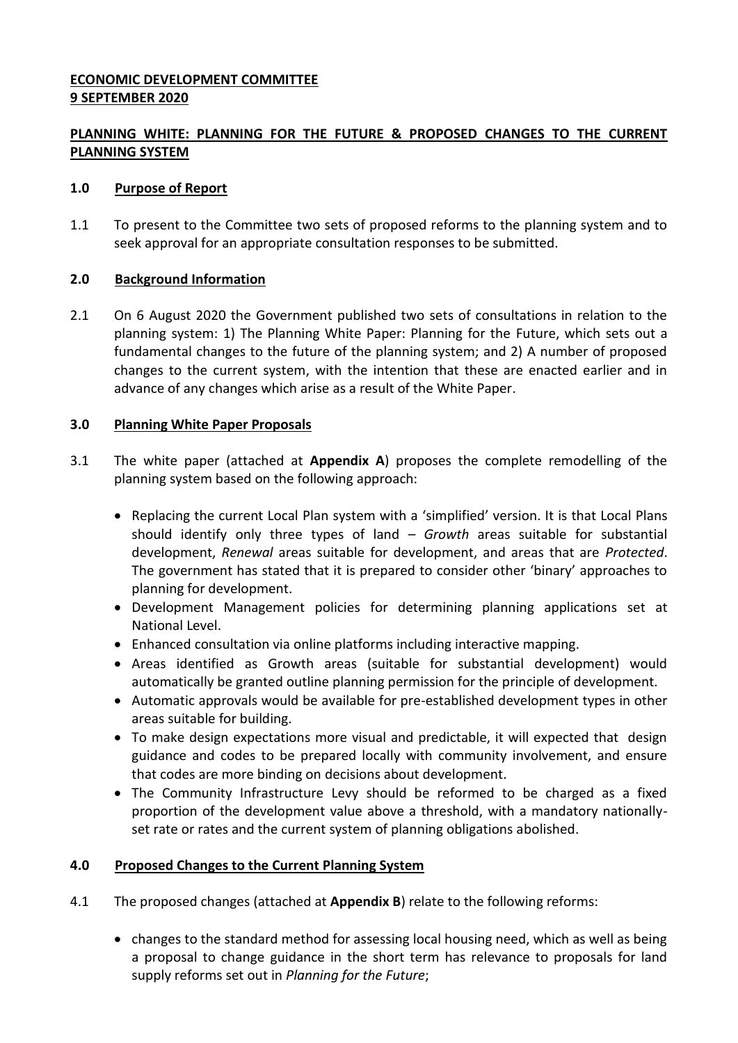## **ECONOMIC DEVELOPMENT COMMITTEE 9 SEPTEMBER 2020**

# **PLANNING WHITE: PLANNING FOR THE FUTURE & PROPOSED CHANGES TO THE CURRENT PLANNING SYSTEM**

### **1.0 Purpose of Report**

1.1 To present to the Committee two sets of proposed reforms to the planning system and to seek approval for an appropriate consultation responses to be submitted.

### **2.0 Background Information**

2.1 On 6 August 2020 the Government published two sets of consultations in relation to the planning system: 1) The Planning White Paper: Planning for the Future, which sets out a fundamental changes to the future of the planning system; and 2) A number of proposed changes to the current system, with the intention that these are enacted earlier and in advance of any changes which arise as a result of the White Paper.

### **3.0 Planning White Paper Proposals**

- 3.1 The white paper (attached at **Appendix A**) proposes the complete remodelling of the planning system based on the following approach:
	- Replacing the current Local Plan system with a 'simplified' version. It is that Local Plans should identify only three types of land – *Growth* areas suitable for substantial development, *Renewal* areas suitable for development, and areas that are *Protected*. The government has stated that it is prepared to consider other 'binary' approaches to planning for development.
	- Development Management policies for determining planning applications set at National Level.
	- Enhanced consultation via online platforms including interactive mapping.
	- Areas identified as Growth areas (suitable for substantial development) would automatically be granted outline planning permission for the principle of development.
	- Automatic approvals would be available for pre-established development types in other areas suitable for building.
	- To make design expectations more visual and predictable, it will expected that design guidance and codes to be prepared locally with community involvement, and ensure that codes are more binding on decisions about development.
	- The Community Infrastructure Levy should be reformed to be charged as a fixed proportion of the development value above a threshold, with a mandatory nationallyset rate or rates and the current system of planning obligations abolished.

## **4.0 Proposed Changes to the Current Planning System**

- 4.1 The proposed changes (attached at **Appendix B**) relate to the following reforms:
	- changes to the standard method for assessing local housing need, which as well as being a proposal to change guidance in the short term has relevance to proposals for land supply reforms set out in *Planning for the Future*;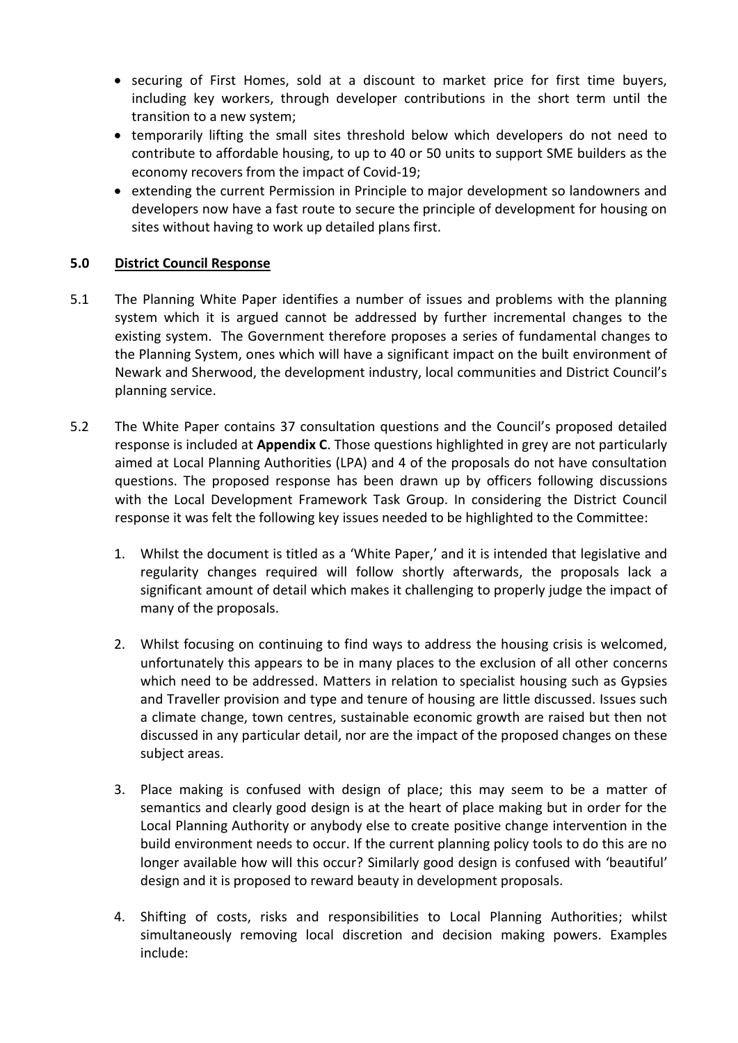- securing of First Homes, sold at a discount to market price for first time buyers, including key workers, through developer contributions in the short term until the transition to a new system;
- temporarily lifting the small sites threshold below which developers do not need to contribute to affordable housing, to up to 40 or 50 units to support SME builders as the economy recovers from the impact of Covid-19;
- extending the current Permission in Principle to major development so landowners and developers now have a fast route to secure the principle of development for housing on sites without having to work up detailed plans first.

## **5.0 District Council Response**

- 5.1 The Planning White Paper identifies a number of issues and problems with the planning system which it is argued cannot be addressed by further incremental changes to the existing system. The Government therefore proposes a series of fundamental changes to the Planning System, ones which will have a significant impact on the built environment of Newark and Sherwood, the development industry, local communities and District Council's planning service.
- 5.2 The White Paper contains 37 consultation questions and the Council's proposed detailed response is included at **Appendix C**. Those questions highlighted in grey are not particularly aimed at Local Planning Authorities (LPA) and 4 of the proposals do not have consultation questions. The proposed response has been drawn up by officers following discussions with the Local Development Framework Task Group. In considering the District Council response it was felt the following key issues needed to be highlighted to the Committee:
	- 1. Whilst the document is titled as a 'White Paper,' and it is intended that legislative and regularity changes required will follow shortly afterwards, the proposals lack a significant amount of detail which makes it challenging to properly judge the impact of many of the proposals.
	- 2. Whilst focusing on continuing to find ways to address the housing crisis is welcomed, unfortunately this appears to be in many places to the exclusion of all other concerns which need to be addressed. Matters in relation to specialist housing such as Gypsies and Traveller provision and type and tenure of housing are little discussed. Issues such a climate change, town centres, sustainable economic growth are raised but then not discussed in any particular detail, nor are the impact of the proposed changes on these subject areas.
	- 3. Place making is confused with design of place; this may seem to be a matter of semantics and clearly good design is at the heart of place making but in order for the Local Planning Authority or anybody else to create positive change intervention in the build environment needs to occur. If the current planning policy tools to do this are no longer available how will this occur? Similarly good design is confused with 'beautiful' design and it is proposed to reward beauty in development proposals.
	- 4. Shifting of costs, risks and responsibilities to Local Planning Authorities; whilst simultaneously removing local discretion and decision making powers. Examples include: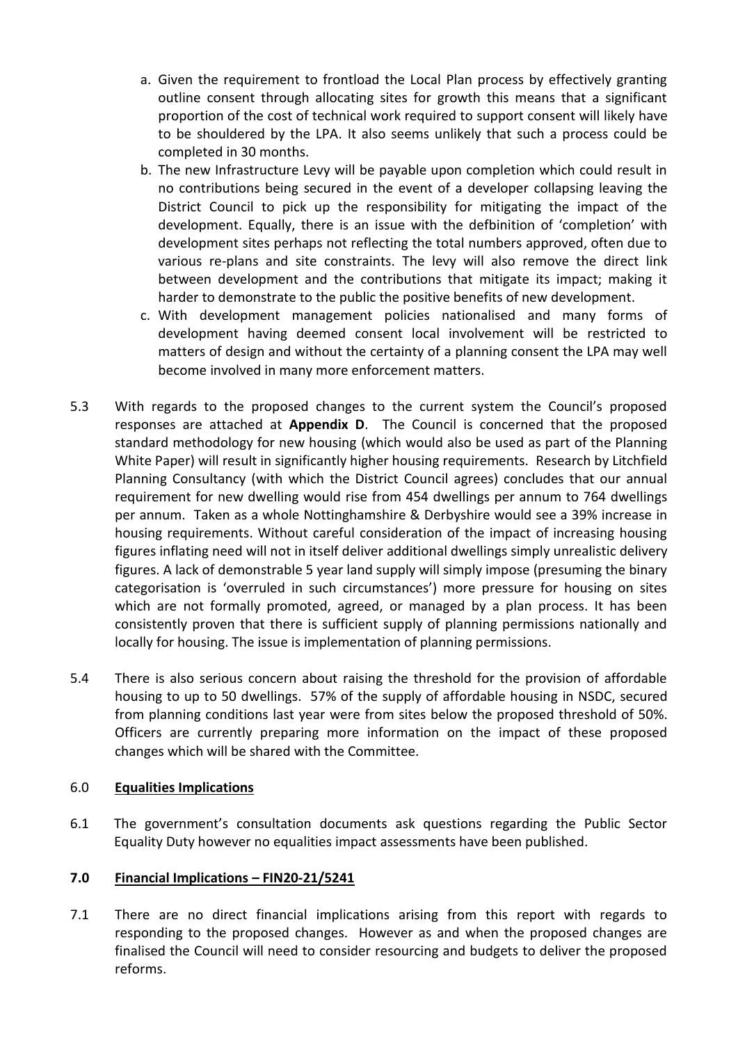- a. Given the requirement to frontload the Local Plan process by effectively granting outline consent through allocating sites for growth this means that a significant proportion of the cost of technical work required to support consent will likely have to be shouldered by the LPA. It also seems unlikely that such a process could be completed in 30 months.
- b. The new Infrastructure Levy will be payable upon completion which could result in no contributions being secured in the event of a developer collapsing leaving the District Council to pick up the responsibility for mitigating the impact of the development. Equally, there is an issue with the defbinition of 'completion' with development sites perhaps not reflecting the total numbers approved, often due to various re-plans and site constraints. The levy will also remove the direct link between development and the contributions that mitigate its impact; making it harder to demonstrate to the public the positive benefits of new development.
- c. With development management policies nationalised and many forms of development having deemed consent local involvement will be restricted to matters of design and without the certainty of a planning consent the LPA may well become involved in many more enforcement matters.
- 5.3 With regards to the proposed changes to the current system the Council's proposed responses are attached at **Appendix D**. The Council is concerned that the proposed standard methodology for new housing (which would also be used as part of the Planning White Paper) will result in significantly higher housing requirements. Research by Litchfield Planning Consultancy (with which the District Council agrees) concludes that our annual requirement for new dwelling would rise from 454 dwellings per annum to 764 dwellings per annum. Taken as a whole Nottinghamshire & Derbyshire would see a 39% increase in housing requirements. Without careful consideration of the impact of increasing housing figures inflating need will not in itself deliver additional dwellings simply unrealistic delivery figures. A lack of demonstrable 5 year land supply will simply impose (presuming the binary categorisation is 'overruled in such circumstances') more pressure for housing on sites which are not formally promoted, agreed, or managed by a plan process. It has been consistently proven that there is sufficient supply of planning permissions nationally and locally for housing. The issue is implementation of planning permissions.
- 5.4 There is also serious concern about raising the threshold for the provision of affordable housing to up to 50 dwellings. 57% of the supply of affordable housing in NSDC, secured from planning conditions last year were from sites below the proposed threshold of 50%. Officers are currently preparing more information on the impact of these proposed changes which will be shared with the Committee.

### 6.0 **Equalities Implications**

6.1 The government's consultation documents ask questions regarding the Public Sector Equality Duty however no equalities impact assessments have been published.

### **7.0 Financial Implications – FIN20-21/5241**

7.1 There are no direct financial implications arising from this report with regards to responding to the proposed changes. However as and when the proposed changes are finalised the Council will need to consider resourcing and budgets to deliver the proposed reforms.